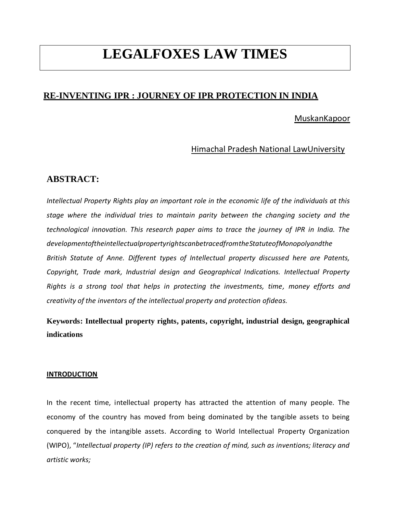# **LEGALFOXES LAW TIMES**

# **RE-INVENTING IPR : JOURNEY OF IPR PROTECTION IN INDIA**

## MuskanKapoor

## Himachal Pradesh National LawUniversity

## **ABSTRACT:**

*Intellectual Property Rights play an important role in the economic life of the individuals at this stage where the individual tries to maintain parity between the changing society and the technological innovation. This research paper aims to trace the journey of IPR in India. The developmentoftheintellectualpropertyrightscanbetracedfromtheStatuteofMonopolyandthe British Statute of Anne. Different types of Intellectual property discussed here are Patents, Copyright, Trade mark, Industrial design and Geographical Indications. Intellectual Property Rights is a strong tool that helps in protecting the investments, time, money efforts and creativity of the inventors of the intellectual property and protection ofideas.*

# **Keywords: Intellectual property rights, patents, copyright, industrial design, geographical indications**

#### **INTRODUCTION**

In the recent time, intellectual property has attracted the attention of many people. The economy of the country has moved from being dominated by the tangible assets to being conquered by the intangible assets. According to World Intellectual Property Organization (WIPO), "*Intellectual property (IP) refers to the creation of mind, such as inventions; literacy and artistic works;*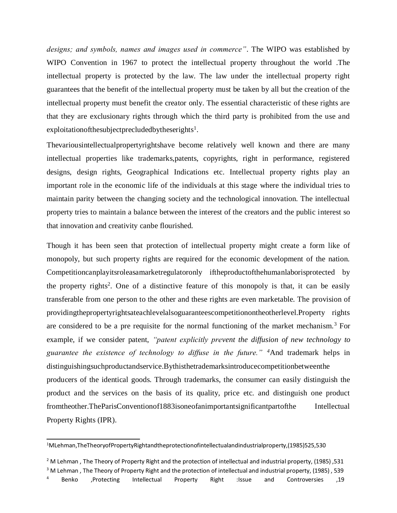*designs; and symbols, names and images used in commerce"*. The WIPO was established by WIPO Convention in 1967 to protect the intellectual property throughout the world .The intellectual property is protected by the law. The law under the intellectual property right guarantees that the benefit of the intellectual property must be taken by all but the creation of the intellectual property must benefit the creator only. The essential characteristic of these rights are that they are exclusionary rights through which the third party is prohibited from the use and exploitationof the subject precluded by the serights<sup>1</sup>.

Thevariousintellectualpropertyrightshave become relatively well known and there are many intellectual properties like trademarks,patents, copyrights, right in performance, registered designs, design rights, Geographical Indications etc. Intellectual property rights play an important role in the economic life of the individuals at this stage where the individual tries to maintain parity between the changing society and the technological innovation. The intellectual property tries to maintain a balance between the interest of the creators and the public interest so that innovation and creativity canbe flourished.

Though it has been seen that protection of intellectual property might create a form like of monopoly, but such property rights are required for the economic development of the nation. Competitioncanplayitsroleasamarketregulatoronly iftheproductofthehumanlaborisprotected by the property rights<sup>2</sup>. One of a distinctive feature of this monopoly is that, it can be easily transferable from one person to the other and these rights are even marketable. The provision of providingthepropertyrightsateachlevelalsoguaranteescompetitionontheotherlevel.Property rights are considered to be a pre requisite for the normal functioning of the market mechanism.<sup>3</sup> For example, if we consider patent, *"patent explicitly prevent the diffusion of new technology to guarantee the existence of technology to diffuse in the future." <sup>4</sup>*And trademark helps in distinguishingsuchproductandservice.Bythisthetrademarksintroducecompetitionbetweenthe producers of the identical goods. Through trademarks, the consumer can easily distinguish the product and the services on the basis of its quality, price etc. and distinguish one product fromtheother.TheParisConventionof1883isoneofanimportantsignificantpartofthe Intellectual Property Rights (IPR).

<sup>3</sup> M Lehman, The Theory of Property Right and the protection of intellectual and industrial property, (1985), 539

<sup>1</sup>MLehman,TheTheoryofPropertyRightandtheprotectionofintellectualandindustrialproperty,(1985)525,530

 $2$  M Lehman, The Theory of Property Right and the protection of intellectual and industrial property, (1985), 531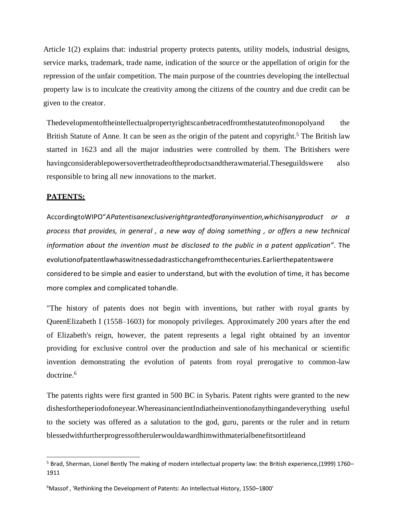Article 1(2) explains that: industrial property protects patents, utility models, industrial designs, service marks, trademark, trade name, indication of the source or the appellation of origin for the repression of the unfair competition. The main purpose of the countries developing the intellectual property law is to inculcate the creativity among the citizens of the country and due credit can be given to the creator.

Thedevelopmentoftheintellectualpropertyrightscanbetracedfromthestatuteofmonopolyand the British Statute of Anne. It can be seen as the origin of the patent and copyright.<sup>5</sup> The British law started in 1623 and all the major industries were controlled by them. The Britishers were havingconsiderablepowersoverthetradeoftheproductsandtherawmaterial.Theseguildswere also responsible to bring all new innovations to the market.

#### **PATENTS:**

AccordingtoWIPO"*APatentisanexclusiverightgrantedforanyinvention,whichisanyproduct or a process that provides, in general , a new way of doing something , or offers a new technical information about the invention must be disclosed to the public in a patent application"*. The evolutionofpatentlawhaswitnessedadrasticchangefromthecenturies.Earlierthepatentswere considered to be simple and easier to understand, but with the evolution of time, it has become more complex and complicated tohandle.

"The history of patents does not begin with inventions, but rather with royal grants by [QueenElizabeth I \(](https://en.wikipedia.org/wiki/Queen_Elizabeth_I)1558–1603) for monopoly privileges. Approximately 200 years after the end of Elizabeth's reign, however, the patent represents a legal [right o](https://en.wikipedia.org/wiki/Right)btained by an inventor providing for exclusive control over the production and sale of his mechanical or scientific invention demonstrating the evolution of patents from royal prerogative to common-law doctrine.<sup>6</sup>

The patents rights were first granted in 500 BC in Sybaris. Patent rights were granted to the new dishesfortheperiodofoneyear.WhereasinancientIndiatheinventionofanythingandeverything useful to the society was offered as a salutation to the god, guru, parents or the ruler and in return blessedwithfurtherprogressoftherulerwouldawardhimwithmaterialbenefitsortitleand

<sup>5</sup> Brad, Sherman, Lionel Bentl[y The making of modern intellectual property law: the British experience,\(1999\) 1760](https://www.google.com/books?id=u2aMRA-eF1gC&dq=statute%2Bof%2Banne%2Bcopyright&lr&as_brr=3&source=gbs_navlinks_s)– [1911](https://www.google.com/books?id=u2aMRA-eF1gC&dq=statute%2Bof%2Banne%2Bcopyright&lr&as_brr=3&source=gbs_navlinks_s)

<sup>6</sup>Massof , ['Rethinking the Development of Patents:](http://papers.ssrn.com/sol3/papers.cfm?abstract_id=863925) An Intellectual History, 1550–1800'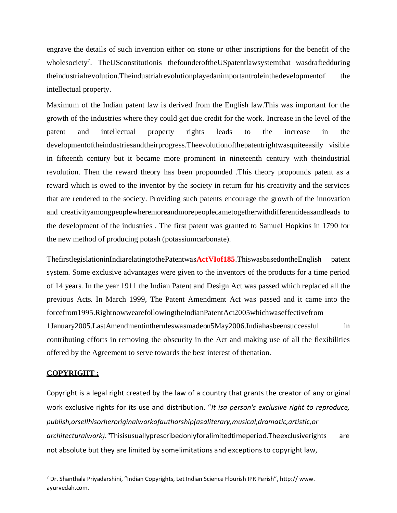engrave the details of such invention either on stone or other inscriptions for the benefit of the wholesociety<sup>7</sup>. TheUSconstitutionis thefounderoftheUSpatentlawsystemthat wasdraftedduring theindustrialrevolution.Theindustrialrevolutionplayedanimportantroleinthedevelopmentof the intellectual property.

Maximum of the Indian patent law is derived from the English law.This was important for the growth of the industries where they could get due credit for the work. Increase in the level of the patent and intellectual property rights leads to the increase in the developmentoftheindustriesandtheirprogress.Theevolutionofthepatentrightwasquiteeasily visible in fifteenth century but it became more prominent in nineteenth century with theindustrial revolution. Then the reward theory has been propounded .This theory propounds patent as a reward which is owed to the inventor by the society in return for his creativity and the services that are rendered to the society. Providing such patents encourage the growth of the innovation and creativityamongpeoplewheremoreandmorepeoplecametogetherwithdifferentideasandleads to the development of the industries . The first patent was granted to Samuel Hopkins in 1790 for the new method of producing potash (potassiumcarbonate).

ThefirstlegislationinIndiarelatingtothePatentwas**ActVIof185**.ThiswasbasedontheEnglish patent system. Some exclusive advantages were given to the inventors of the products for a time period of 14 years. In the year 1911 the Indian Patent and Design Act was passed which replaced all the previous Acts. In March 1999, The Patent Amendment Act was passed and it came into the forcefrom1995.RightnowwearefollowingtheIndianPatentAct2005whichwaseffectivefrom 1January2005.LastAmendmentintheruleswasmadeon5May2006.Indiahasbeensuccessful in contributing efforts in removing the obscurity in the Act and making use of all the flexibilities offered by the Agreement to serve towards the best interest of thenation.

#### **COPYRIGHT :**

Copyright is a [legal right c](https://en.wikipedia.org/wiki/Natural_and_legal_rights)reated by the law of a country that grants the creator of any original work [exclusive rights f](https://en.wikipedia.org/wiki/Exclusive_right)or its use and distribution. "*It isa person's exclusive right to reproduce, publish,orsellhisorheroriginalworkofauthorship(asaliterary,musical,dramatic,artistic,or architecturalwork)."*Thisisusuallyprescribedonlyforalimitedtimeperiod.Theexclusiverights are not absolute but they are limited by som[elimitations and exceptions to copyright l](https://en.wikipedia.org/wiki/Limitations_and_exceptions_to_copyright)aw,

<sup>7</sup> Dr. Shanthala Priyadarshini, "Indian Copyrights, Let Indian Science Flourish IPR Perish", http:// [www.](http://www/) ayurvedah.com.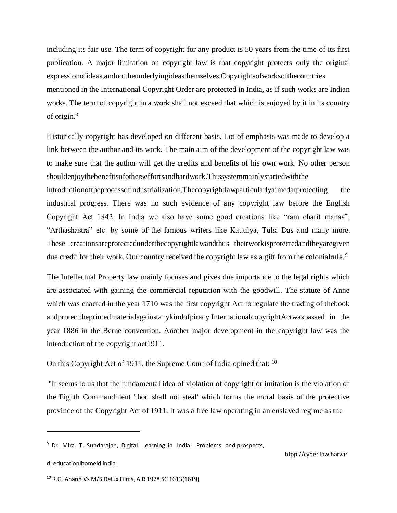including its fair use. The term of copyright for any product is 50 years from the time of its first publication. A major limitation on copyright law is that copyright protects only the original expressionofideas,andnottheunderlyingideasthemselves.Copyrightsofworksofthecountries mentioned in the International Copyright Order are protected in India, as if such works are Indian works. The term of copyright in a work shall not exceed that which is enjoyed by it in its country of origin.<sup>8</sup>

Historically copyright has developed on different basis. Lot of emphasis was made to develop a link between the author and its work. The main aim of the development of the copyright law was to make sure that the author will get the credits and benefits of his own work. No other person shouldenjoythebenefitsofotherseffortsandhardwork.Thissystemmainlystartedwiththe

introductionoftheprocessofindustrialization.Thecopyrightlawparticularlyaimedatprotecting the industrial progress. There was no such evidence of any copyright law before the English Copyright Act 1842. In India we also have some good creations like "ram charit manas", "Arthashastra" etc. by some of the famous writers like Kautilya, Tulsi Das and many more. These creationsareprotectedunderthecopyrightlawandthus theirworkisprotectedandtheyaregiven due credit for their work. Our country received the copyright law as a gift from the colonialrule.<sup>9</sup>

The Intellectual Property law mainly focuses and gives due importance to the legal rights which are associated with gaining the commercial reputation with the goodwill. The statute of Anne which was enacted in the year 1710 was the first copyright Act to regulate the trading of the book andprotecttheprintedmaterialagainstanykindofpiracy.InternationalcopyrightActwaspassed in the year 1886 in the Berne convention. Another major development in the copyright law was the introduction of the copyright act1911.

On this Copyright Act of 1911, the Supreme Court of India opined that: <sup>10</sup>

"It seems to us that the fundamental idea of violation of copyright or imitation is the violation of the Eighth Commandment 'thou shall not steal' which forms the moral basis of the protective province of the Copyright Act of 1911. It was a free law operating in an enslaved regime as the

<sup>&</sup>lt;sup>9</sup> Dr. Mira T. Sundarajan, Digital Learning in India: Problems and prospects,

d. educationlhomeldlindia.

<sup>10</sup> R.G. Anand Vs M/S Delux Films, AIR 1978 SC 1613(1619)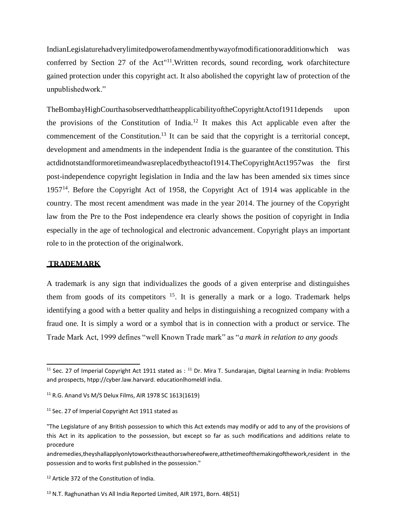IndianLegislaturehadverylimitedpowerofamendmentbywayofmodificationoradditionwhich was conferred by Section 27 of the Act"<sup>11</sup>. Written records, sound recording, work ofarchitecture gained protection under this copyright act. It also abolished the copyright law of protection of the unpublishedwork."

TheBombayHighCourthasobservedthattheapplicabilityoftheCopyrightActof1911depends upon the provisions of the Constitution of India.<sup>12</sup> It makes this Act applicable even after the commencement of the Constitution.<sup>13</sup> It can be said that the copyright is a territorial concept, development and amendments in the independent India is the guarantee of the constitution. This actdidnotstandformoretimeandwasreplacedbytheactof1914.Th[eCopyrightAct1957w](https://en.wikipedia.org/wiki/Copyright_Act%2C_1957)as the first post-independence copyright legislation in India and the law has been amended six times since 1957<sup>14</sup>. Before the Copyright Act of 1958, the Copyright Act of 1914 was applicable in the country. The most recent amendment was made in the year 2014. The journey of the Copyright law from the Pre to the Post independence era clearly shows the position of copyright in India especially in the age of technological and electronic advancement. Copyright plays an important role to in the protection of the originalwork.

### **TRADEMARK**

A trademark is any sign that individualizes the goods of a given enterprise and distinguishes them from goods of its competitors  $15$ . It is generally a mark or a logo. Trademark helps identifying a good with a better quality and helps in distinguishing a recognized company with a fraud one. It is simply a word or a symbol that is in connection with a product or service. The Trade Mark Act, 1999 defines "well Known Trade mark" as "*a mark in relation to any goods*

<sup>&</sup>lt;sup>11</sup> Sec. 27 of Imperial Copyright Act 1911 stated as :  $11$  Dr. Mira T. Sundarajan, Digital Learning in India: Problems and prospects, htpp://cyber.law.harvard. educationlhomeldl india.

 $11$  R.G. Anand Vs M/S Delux Films, AIR 1978 SC 1613(1619)

<sup>&</sup>lt;sup>11</sup> Sec. 27 of Imperial Copyright Act 1911 stated as

<sup>&</sup>quot;The Legislature of any British possession to which this Act extends may modify or add to any of the provisions of this Act in its application to the possession, but except so far as such modifications and additions relate to procedure

andremedies,theyshallapplyonlytoworkstheauthorswhereofwere,atthetimeofthemakingofthework,resident in the possession and to works first published in the possession."

<sup>&</sup>lt;sup>12</sup> Article 372 of the Constitution of India.

<sup>&</sup>lt;sup>13</sup> N.T. Raghunathan Vs All India Reported Limited, AIR 1971, Born. 48(51)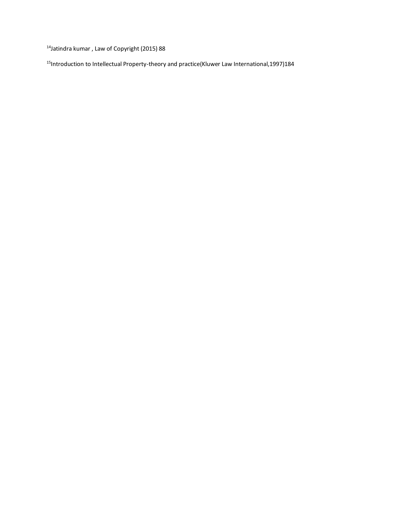<sup>14</sup>Jatindra kumar , Law of Copyright (2015) 88

<sup>15</sup>Introduction to Intellectual Property-theory and practice(Kluwer Law International,1997)184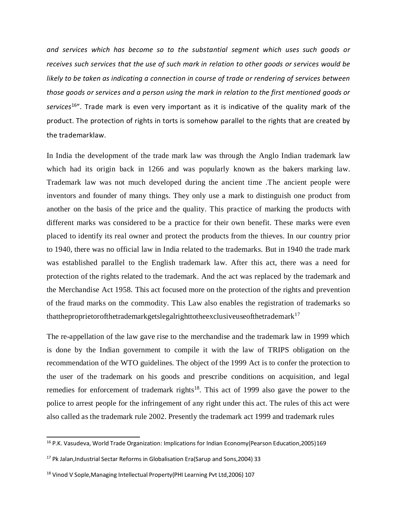*and services which has become so to the substantial segment which uses such goods or receives such services that the use of such mark in relation to other goods or services would be likely to be taken as indicating a connection in course of trade or rendering of services between those goods or services and a person using the mark in relation to the first mentioned goods or services*<sup>16</sup>". Trade mark is even very important as it is indicative of the quality mark of the product. The protection of rights in torts is somehow parallel to the rights that are created by the trademarklaw.

In India the development of the trade mark law was through the Anglo Indian trademark law which had its origin back in 1266 and was popularly known as the bakers marking law. Trademark law was not much developed during the ancient time .The ancient people were inventors and founder of many things. They only use a mark to distinguish one product from another on the basis of the price and the quality. This practice of marking the products with different marks was considered to be a practice for their own benefit. These marks were even placed to identify its real owner and protect the products from the thieves. In our country prior to 1940, there was no official law in India related to the trademarks. But in 1940 the trade mark was established parallel to the English trademark law. After this act, there was a need for protection of the rights related to the trademark. And the act was replaced by the trademark and the Merchandise Act 1958. This act focused more on the protection of the rights and prevention of the fraud marks on the commodity. This Law also enables the registration of trademarks so thattheproprietorofthetrademarkgetslegalrighttotheexclusiveuseofthetrademark<sup>17</sup>

The re-appellation of the law gave rise to the merchandise and the trademark law in 1999 which is done by the Indian government to compile it with the law of TRIPS obligation on the recommendation of the WTO guidelines. The object of the 1999 Act is to confer the protection to the user of the trademark on his goods and prescribe conditions on acquisition, and legal remedies for enforcement of trademark rights<sup>18</sup>. This act of 1999 also gave the power to the police to arrest people for the infringement of any right under this act. The rules of this act were also called as the trademark rule 2002. Presently the trademark act 1999 and trademark rules

<sup>&</sup>lt;sup>16</sup> P.K. Vasudeva, World Trade Organization: Implications for Indian Economy(Pearson Education, 2005) 169

<sup>&</sup>lt;sup>17</sup> Pk Jalan, Industrial Sectar Reforms in Globalisation Era(Sarup and Sons, 2004) 33

<sup>&</sup>lt;sup>18</sup> Vinod V Sople, Managing Intellectual Property (PHI Learning Pvt Ltd, 2006) 107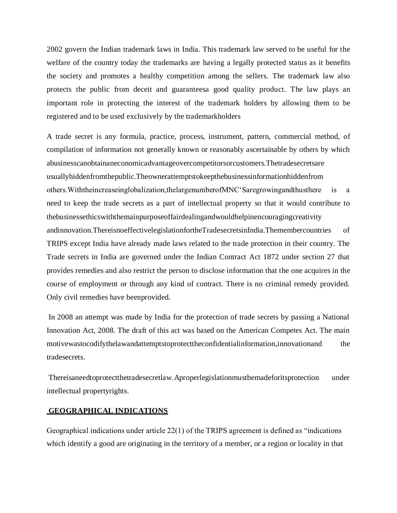2002 govern the Indian trademark laws in India. This trademark law served to be useful for the welfare of the country today the trademarks are having a legally protected status as it benefits the society and promotes a healthy competition among the sellers. The trademark law also protects the public from deceit and guaranteesa good quality product. The law plays an important role in protecting the interest of the trademark holders by allowing them to be registered and to be used exclusively by the trademarkholders

A trade secret is any formula, practice, process, instrument, pattern, commercial method, of compilation of [information n](https://en.wikipedia.org/wiki/Information)ot generally known or reasonably ascertainable by others by which [abusinessc](https://en.wikipedia.org/wiki/Business)anobtainaneconomicadvantageovercompetitorsorcustomers.Thetradesecretsare usuallyhiddenfromthepublic.Theownerattemptstokeepthebusinessinformationhiddenfrom others.Withtheincreaseinglobalization,thelargenumberofMNC'Saregrowingandthusthere is a need to keep the trade secrets as a part of intellectual property so that it would contribute to thebusinessethicswiththemainpurposeoffairdealingandwouldhelpinencouragingcreativity andinnovation.ThereisnoeffectivelegislationfortheTradesecretsinIndia.Themembercountries of TRIPS except India have already made laws related to the trade protection in their country. The Trade secrets in India are governed under the Indian Contract Act 1872 under section 27 that provides remedies and also restrict the person to disclose information that the one acquires in the course of employment or through any kind of contract. There is no criminal remedy provided. Only civil remedies have beenprovided.

In 2008 an attempt was made by India for the protection of trade secrets by passing a National Innovation Act, 2008. The draft of this act was based on the American Competes Act. The main motivewastocodifythelawandattemptstoprotecttheconfidentialinformation,innovationand the tradesecrets.

Thereisaneedtoprotectthetradesecretlaw.Aproperlegislationmustbemadeforitsprotection under intellectual propertyrights.

#### **GEOGRAPHICAL INDICATIONS**

Geographical indications under article 22(1) of the TRIPS agreement is defined as "indications which identify a good are originating in the territory of a member, or a region or locality in that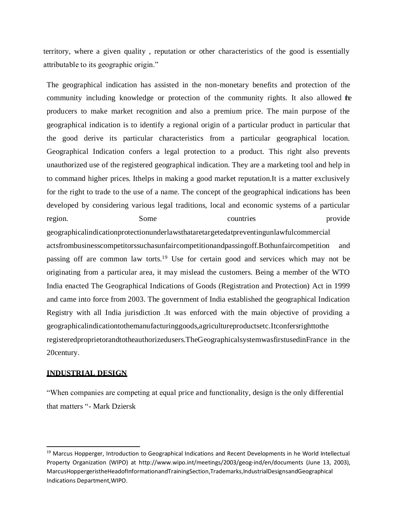territory, where a given quality , reputation or other characteristics of the good is essentially attributable to its geographic origin."

The geographical indication has assisted in the non-monetary benefits and protection of the community including knowledge or protection of the community rights. It also allowed the producers to make market recognition and also a premium price. The main purpose of the geographical indication is to identify a regional origin of a particular product in particular that the good derive its particular characteristics from a particular geographical location. Geographical Indication confers a legal protection to a product. This right also prevents unauthorized use of the registered geographical indication. They are a marketing tool and help in to command higher prices. Ithelps in making a good market reputation.It is a matter exclusively for the right to trade to the use of a name. The concept of the geographical indications has been developed by considering various legal traditions, local and economic systems of a particular region. Some Some countries provide geographicalindicationprotectionunderlawsthataretargetedatpreventingunlawfulcommercial actsfrombusinesscompetitorssuchasunfaircompetitionandpassingoff.Bothunfaircompetition and passing off are common law torts.<sup>19</sup> Use for certain good and services which may not be originating from a particular area, it may mislead the customers. Being a member of the WTO India enacted The Geographical Indications of Goods (Registration and Protection) Act in 1999 and came into force from 2003. The government of India established the geographical Indication Registry with all India jurisdiction .It was enforced with the main objective of providing a

registeredproprietorandtotheauthorizedusers.TheGeographicalsystemwasfirstusedinFrance in the 20century.

geographicalindicationtothemanufacturinggoods,agricultureproductsetc.Itconfersrighttothe

#### **INDUSTRIAL DESIGN**

"When companies are competing at equal price and functionality, design is the only differential that matters "- Mark Dziersk

<sup>&</sup>lt;sup>19</sup> Marcus Hopperger, Introduction to Geographical Indications and Recent Developments in he World Intellectual Property Organization (WIPO) at<http://www.wipo.int/meetings/2003/geog-ind/en/documents> (June 13, 2003), MarcusHoppergeristheHeadofInformationandTrainingSection,Trademarks,IndustrialDesignsandGeographical Indications Department,WIPO.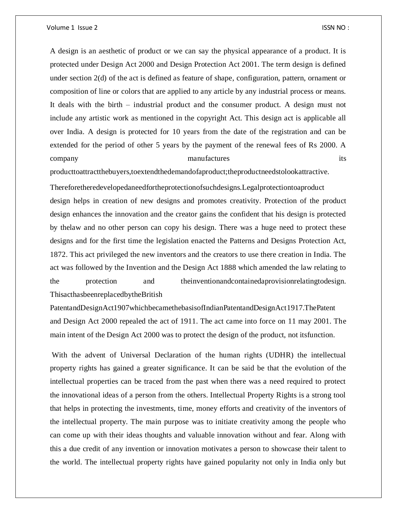Volume 1 Issue 2 ISSN NO :

A design is an aesthetic of product or we can say the physical appearance of a product. It is protected under Design Act 2000 and Design Protection Act 2001. The term design is defined under section 2(d) of the act is defined as feature of shape, configuration, pattern, ornament or composition of line or colors that are applied to any article by any industrial process or means. It deals with the birth – industrial product and the consumer product. A design must not include any artistic work as mentioned in the copyright Act. This design act is applicable all over India. A design is protected for 10 years from the date of the registration and can be extended for the period of other 5 years by the payment of the renewal fees of Rs 2000. A company manufactures its

producttoattractthebuyers,toextendthedemandofaproduct;theproductneedstolookattractive.

Thereforetheredevelopedaneedfortheprotectionofsuchdesigns.Legalprotectiontoaproduct design helps in creation of new designs and promotes creativity. Protection of the product design enhances the innovation and the creator gains the confident that his design is protected by thelaw and no other person can copy his design. There was a huge need to protect these designs and for the first time the legislation enacted the Patterns and Designs Protection Act, 1872. This act privileged the new inventors and the creators to use there creation in India. The act was followed by the Invention and the Design Act 1888 which amended the law relating to the protection and theinventionandcontainedaprovisionrelatingtodesign. ThisacthasbeenreplacedbytheBritish

PatentandDesignAct1907whichbecamethebasisofIndianPatentandDesignAct1917.ThePatent and Design Act 2000 repealed the act of 1911. The act came into force on 11 may 2001. The main intent of the Design Act 2000 was to protect the design of the product, not itsfunction.

With the advent of Universal Declaration of the human rights (UDHR) the intellectual property rights has gained a greater significance. It can be said be that the evolution of the intellectual properties can be traced from the past when there was a need required to protect the innovational ideas of a person from the others. Intellectual Property Rights is a strong tool that helps in protecting the investments, time, money efforts and creativity of the inventors of the intellectual property. The main purpose was to initiate creativity among the people who can come up with their ideas thoughts and valuable innovation without and fear. Along with this a due credit of any invention or innovation motivates a person to showcase their talent to the world. The intellectual property rights have gained popularity not only in India only but